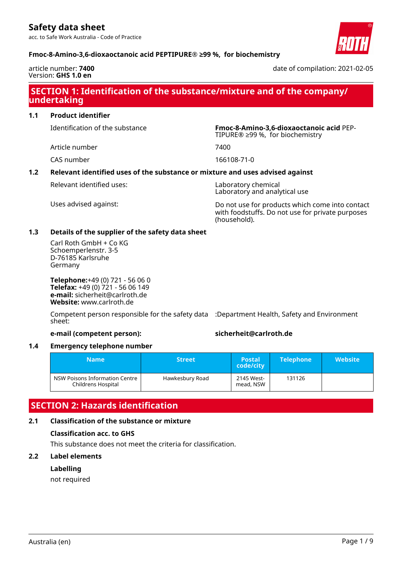acc. to Safe Work Australia - Code of Practice





date of compilation: 2021-02-05

# **SECTION 1: Identification of the substance/mixture and of the company/ undertaking**

**1.1 Product identifier**

Identification of the substance **Fmoc-8-Amino-3,6-dioxaoctanoic acid** PEP-

Article number 7400

CAS number 166108-71-0

### **1.2 Relevant identified uses of the substance or mixture and uses advised against**

Relevant identified uses: Laboratory chemical

Laboratory and analytical use

TIPURE® ≥99 %, for biochemistry

Uses advised against: Do not use for products which come into contact with foodstuffs. Do not use for private purposes (household).

### **1.3 Details of the supplier of the safety data sheet**

Carl Roth GmbH + Co KG Schoemperlenstr. 3-5 D-76185 Karlsruhe Germany

**Telephone:**+49 (0) 721 - 56 06 0 **Telefax:** +49 (0) 721 - 56 06 149 **e-mail:** sicherheit@carlroth.de **Website:** www.carlroth.de

Competent person responsible for the safety data :Department Health, Safety and Environment sheet:

### **e-mail (competent person): sicherheit@carlroth.de**

### **1.4 Emergency telephone number**

| <b>Name</b>                                          | <b>Street</b>   | <b>Postal</b><br>code/city | <b>Telephone</b> | <b>Website</b> |
|------------------------------------------------------|-----------------|----------------------------|------------------|----------------|
| NSW Poisons Information Centre<br>Childrens Hospital | Hawkesbury Road | 2145 West-<br>mead, NSW    | 131126           |                |

# **SECTION 2: Hazards identification**

### **2.1 Classification of the substance or mixture**

### **Classification acc. to GHS**

This substance does not meet the criteria for classification.

### **2.2 Label elements**

### **Labelling**

not required

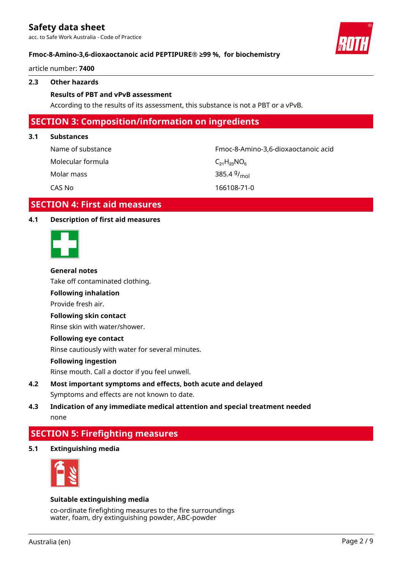acc. to Safe Work Australia - Code of Practice

### **Fmoc-8-Amino-3,6-dioxaoctanoic acid PEPTIPURE® ≥99 %, for biochemistry**

article number: **7400**

### **2.3 Other hazards**

### **Results of PBT and vPvB assessment**

According to the results of its assessment, this substance is not a PBT or a vPvB.

### **SECTION 3: Composition/information on ingredients**

### **3.1 Substances**

| Name of substance | Fmoc-8-Amino-3,6-dioxaoctanoic acid |
|-------------------|-------------------------------------|
| Molecular formula | $C_{21}H_{23}NO_6$                  |
| Molar mass        | 385.4 $9/_{mol}$                    |
| CAS No            | 166108-71-0                         |

### **SECTION 4: First aid measures**

### **4.1 Description of first aid measures**



### **General notes**

Take off contaminated clothing.

# **Following inhalation**

Provide fresh air.

### **Following skin contact**

Rinse skin with water/shower.

### **Following eye contact**

Rinse cautiously with water for several minutes.

### **Following ingestion**

Rinse mouth. Call a doctor if you feel unwell.

### **4.2 Most important symptoms and effects, both acute and delayed** Symptoms and effects are not known to date.

### **4.3 Indication of any immediate medical attention and special treatment needed** none

# **SECTION 5: Firefighting measures**

**5.1 Extinguishing media**



### **Suitable extinguishing media**

co-ordinate firefighting measures to the fire surroundings water, foam, dry extinguishing powder, ABC-powder

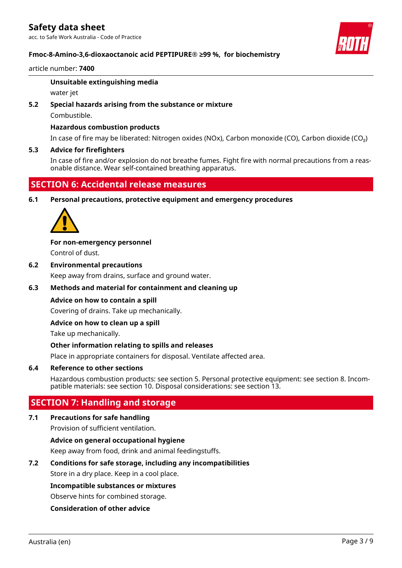acc. to Safe Work Australia - Code of Practice

### **Fmoc-8-Amino-3,6-dioxaoctanoic acid PEPTIPURE® ≥99 %, for biochemistry**

### article number: **7400**

### **Unsuitable extinguishing media**

water jet

### **5.2 Special hazards arising from the substance or mixture**

Combustible.

### **Hazardous combustion products**

In case of fire may be liberated: Nitrogen oxides (NOx), Carbon monoxide (CO), Carbon dioxide (CO₂)

### **5.3 Advice for firefighters**

In case of fire and/or explosion do not breathe fumes. Fight fire with normal precautions from a reasonable distance. Wear self-contained breathing apparatus.

# **SECTION 6: Accidental release measures**

**6.1 Personal precautions, protective equipment and emergency procedures**



**For non-emergency personnel**

Control of dust.

**6.2 Environmental precautions** Keep away from drains, surface and ground water.

# **6.3 Methods and material for containment and cleaning up**

# **Advice on how to contain a spill**

Covering of drains. Take up mechanically.

### **Advice on how to clean up a spill**

Take up mechanically.

### **Other information relating to spills and releases**

Place in appropriate containers for disposal. Ventilate affected area.

### **6.4 Reference to other sections**

Hazardous combustion products: see section 5. Personal protective equipment: see section 8. Incompatible materials: see section 10. Disposal considerations: see section 13.

### **SECTION 7: Handling and storage**

### **7.1 Precautions for safe handling**

Provision of sufficient ventilation.

### **Advice on general occupational hygiene**

Keep away from food, drink and animal feedingstuffs.

### **7.2 Conditions for safe storage, including any incompatibilities**

Store in a dry place. Keep in a cool place.

### **Incompatible substances or mixtures**

Observe hints for combined storage.

### **Consideration of other advice**

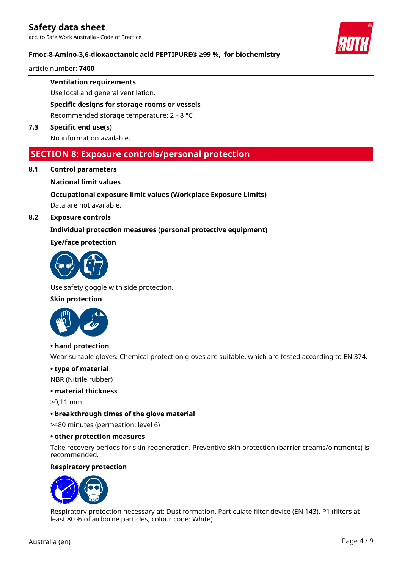acc. to Safe Work Australia - Code of Practice

### **Fmoc-8-Amino-3,6-dioxaoctanoic acid PEPTIPURE® ≥99 %, for biochemistry**

article number: **7400**

**Ventilation requirements**

Use local and general ventilation.

**Specific designs for storage rooms or vessels**

Recommended storage temperature: 2 – 8 °C

**7.3 Specific end use(s)**

No information available.

### **SECTION 8: Exposure controls/personal protection**

**8.1 Control parameters**

### **National limit values**

### **Occupational exposure limit values (Workplace Exposure Limits)**

Data are not available.

**8.2 Exposure controls**

### **Individual protection measures (personal protective equipment)**

### **Eye/face protection**



Use safety goggle with side protection.

### **Skin protection**



### **• hand protection**

Wear suitable gloves. Chemical protection gloves are suitable, which are tested according to EN 374.

### **• type of material**

NBR (Nitrile rubber)

### **• material thickness**

>0,11 mm

### **• breakthrough times of the glove material**

>480 minutes (permeation: level 6)

### **• other protection measures**

Take recovery periods for skin regeneration. Preventive skin protection (barrier creams/ointments) is recommended.

### **Respiratory protection**



Respiratory protection necessary at: Dust formation. Particulate filter device (EN 143). P1 (filters at least 80 % of airborne particles, colour code: White).



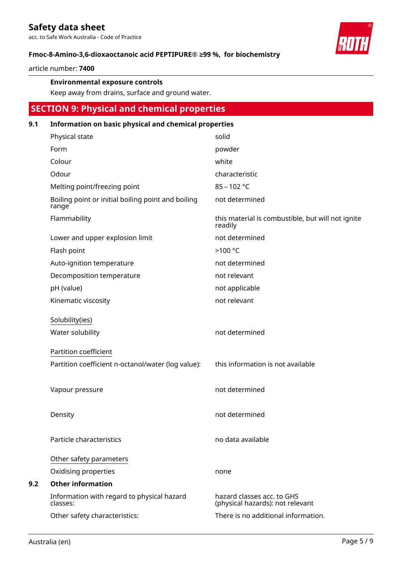acc. to Safe Work Australia - Code of Practice

### **Fmoc-8-Amino-3,6-dioxaoctanoic acid PEPTIPURE® ≥99 %, for biochemistry**

article number: **7400**

### **Environmental exposure controls**

Keep away from drains, surface and ground water.

# **SECTION 9: Physical and chemical properties**

### **9.1 Information on basic physical and chemical properties**

| Physical state                                              | solid                                                          |
|-------------------------------------------------------------|----------------------------------------------------------------|
| Form                                                        | powder                                                         |
| Colour                                                      | white                                                          |
| Odour                                                       | characteristic                                                 |
| Melting point/freezing point                                | $85 - 102 °C$                                                  |
| Boiling point or initial boiling point and boiling<br>range | not determined                                                 |
| Flammability                                                | this material is combustible, but will not ignite<br>readily   |
| Lower and upper explosion limit                             | not determined                                                 |
| Flash point                                                 | >100 °C                                                        |
| Auto-ignition temperature                                   | not determined                                                 |
| Decomposition temperature                                   | not relevant                                                   |
| pH (value)                                                  | not applicable                                                 |
| Kinematic viscosity                                         | not relevant                                                   |
| Solubility(ies)<br>Water solubility                         | not determined                                                 |
| Partition coefficient                                       |                                                                |
| Partition coefficient n-octanol/water (log value):          | this information is not available                              |
| Vapour pressure                                             | not determined                                                 |
| Density                                                     | not determined                                                 |
| Particle characteristics                                    | no data available                                              |
| Other safety parameters                                     |                                                                |
| Oxidising properties                                        | none                                                           |
| <b>Other information</b>                                    |                                                                |
| Information with regard to physical hazard<br>classes:      | hazard classes acc. to GHS<br>(physical hazards): not relevant |
| Other safety characteristics:                               | There is no additional information.                            |



**9.2**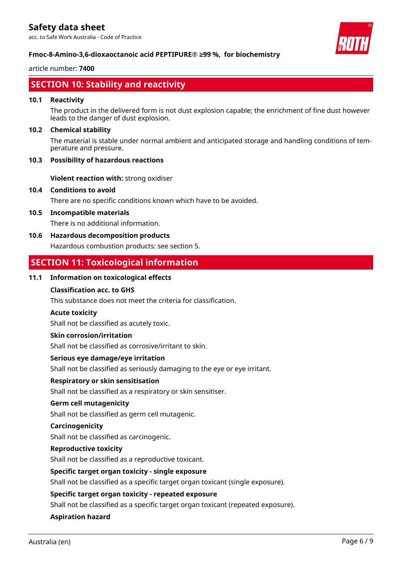acc. to Safe Work Australia - Code of Practice



### **Fmoc-8-Amino-3,6-dioxaoctanoic acid PEPTIPURE® ≥99 %, for biochemistry**

### article number: **7400**

# **SECTION 10: Stability and reactivity**

### **10.1 Reactivity**

The product in the delivered form is not dust explosion capable; the enrichment of fine dust however leads to the danger of dust explosion.

### **10.2 Chemical stability**

The material is stable under normal ambient and anticipated storage and handling conditions of temperature and pressure.

### **10.3 Possibility of hazardous reactions**

**Violent reaction with:** strong oxidiser

### **10.4 Conditions to avoid**

There are no specific conditions known which have to be avoided.

### **10.5 Incompatible materials**

There is no additional information.

### **10.6 Hazardous decomposition products**

Hazardous combustion products: see section 5.

# **SECTION 11: Toxicological information**

### **11.1 Information on toxicological effects**

### **Classification acc. to GHS**

This substance does not meet the criteria for classification.

### **Acute toxicity**

Shall not be classified as acutely toxic.

### **Skin corrosion/irritation**

Shall not be classified as corrosive/irritant to skin.

### **Serious eye damage/eye irritation**

Shall not be classified as seriously damaging to the eye or eye irritant.

### **Respiratory or skin sensitisation**

Shall not be classified as a respiratory or skin sensitiser.

### **Germ cell mutagenicity**

Shall not be classified as germ cell mutagenic.

### **Carcinogenicity**

Shall not be classified as carcinogenic.

### **Reproductive toxicity**

Shall not be classified as a reproductive toxicant.

### **Specific target organ toxicity - single exposure**

Shall not be classified as a specific target organ toxicant (single exposure).

### **Specific target organ toxicity - repeated exposure**

Shall not be classified as a specific target organ toxicant (repeated exposure).

### **Aspiration hazard**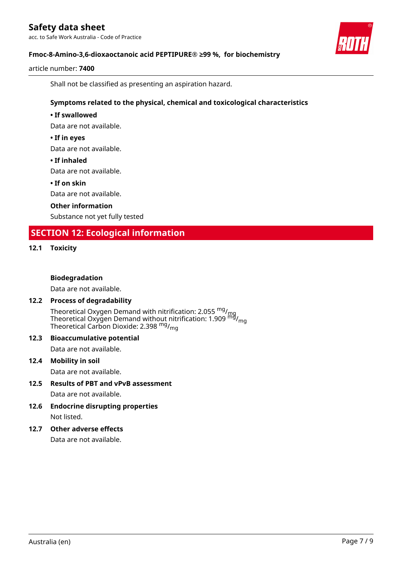acc. to Safe Work Australia - Code of Practice



article number: **7400**

Shall not be classified as presenting an aspiration hazard.

### **Symptoms related to the physical, chemical and toxicological characteristics**

### **• If swallowed**

Data are not available.

### **• If in eyes**

Data are not available.

### **• If inhaled**

Data are not available.

### **• If on skin**

Data are not available.

### **Other information**

Substance not yet fully tested

# **SECTION 12: Ecological information**

### **12.1 Toxicity**

### **Biodegradation**

Data are not available.

### **12.2 Process of degradability**

Theoretical Oxygen Demand with nitrification: 2.055 <sup>mg</sup>/<sub>mg</sub> Theoretical Oxygen Demand without nitrification: 1.909  $^{\sf mfd}_{\sf mfg}$ Theoretical Carbon Dioxide: 2.398 <sup>mg</sup>/<sub>mg</sub>

# **12.3 Bioaccumulative potential**

Data are not available.

### **12.4 Mobility in soil**

Data are not available.

### **12.5 Results of PBT and vPvB assessment** Data are not available.

**12.6 Endocrine disrupting properties** Not listed.

### **12.7 Other adverse effects**

Data are not available.

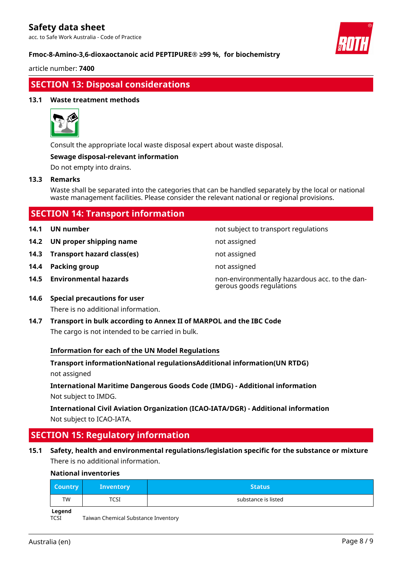acc. to Safe Work Australia - Code of Practice

### **Fmoc-8-Amino-3,6-dioxaoctanoic acid PEPTIPURE® ≥99 %, for biochemistry**

article number: **7400**

# **SECTION 13: Disposal considerations**

### **13.1 Waste treatment methods**



Consult the appropriate local waste disposal expert about waste disposal.

### **Sewage disposal-relevant information**

Do not empty into drains.

### **13.3 Remarks**

Waste shall be separated into the categories that can be handled separately by the local or national waste management facilities. Please consider the relevant national or regional provisions.

| <b>SECTION 14: Transport information</b> |                                     |                                                                            |  |
|------------------------------------------|-------------------------------------|----------------------------------------------------------------------------|--|
| 14.1                                     | UN number                           | not subject to transport regulations                                       |  |
| 14.2                                     | UN proper shipping name             | not assigned                                                               |  |
| 14.3                                     | Transport hazard class(es)          | not assigned                                                               |  |
| 14.4                                     | <b>Packing group</b>                | not assigned                                                               |  |
| 14.5                                     | <b>Environmental hazards</b>        | non-environmentally hazardous acc. to the dan-<br>gerous goods regulations |  |
| 14.6                                     | <b>Special precautions for user</b> |                                                                            |  |

There is no additional information.

**14.7 Transport in bulk according to Annex II of MARPOL and the IBC Code** The cargo is not intended to be carried in bulk.

### **Information for each of the UN Model Regulations**

**Transport informationNational regulationsAdditional information(UN RTDG)** not assigned

**International Maritime Dangerous Goods Code (IMDG) - Additional information** Not subject to IMDG.

**International Civil Aviation Organization (ICAO-IATA/DGR) - Additional information** Not subject to ICAO-IATA.

# **SECTION 15: Regulatory information**

**15.1 Safety, health and environmental regulations/legislation specific for the substance or mixture** There is no additional information.

### **National inventories**

| <b>Country</b> | <b>Inventory</b> | <b>Status</b>       |
|----------------|------------------|---------------------|
| TW             | <b>TCSI</b>      | substance is listed |
| المصطحبا       |                  |                     |

**Legend**

TCSI Taiwan Chemical Substance Inventory